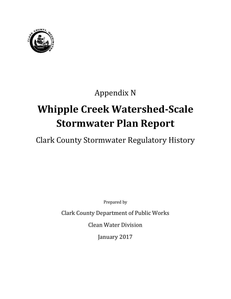

## Appendix N

# **Whipple Creek Watershed-Scale Stormwater Plan Report**

Clark County Stormwater Regulatory History

Prepared by

Clark County Department of Public Works

Clean Water Division

January 2017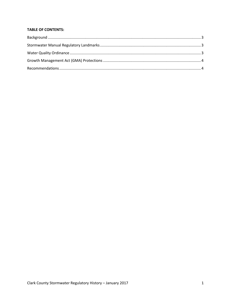#### **TABLE OF CONTENTS:**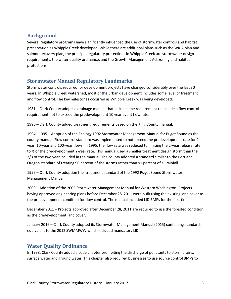### <span id="page-4-0"></span>**Background**

Several regulatory programs have significantly influenced the use of stormwater controls and habitat preservation as Whipple Creek developed. While there are additional plans such as the WRIA plan and salmon recovery plan, the principal regulatory protections in Whipple Creek are stormwater design requirements, the water quality ordinance, and the Growth Management Act zoning and habitat protections.

#### <span id="page-4-1"></span>**Stormwater Manual Regulatory Landmarks**

Stormwater controls required for development projects have changed considerably over the last 30 years. In Whipple Creek watershed, most of the urban development includes some level of treatment and flow control. The key milestones occurred as Whipple Creek was being developed:

1981 – Clark County adopts a drainage manual that includes the requirement to include a flow control requirement not to exceed the predevelopment 10 year event flow rate.

1990 – Clark County added treatment requirements based on the King County manual.

1994 - 1995 – Adoption of the Ecology 1992 Stormwater Management Manual for Puget Sound as the county manual. Flow control standard was implemented to not exceed the predevelopment rate for 2 year, 10-year and 100-year flows. In 1995, the flow rate was reduced to limiting the 2-year release rate to  $\frac{1}{2}$  of the predevelopment 2-year rate. This manual used a smaller treatment design storm than the 2/3 of the two year included in the manual. The county adopted a standard similar to the Portland, Oregon standard of treating 90 percent of the storms rather than 91 percent of all rainfall.

1999 – Clark County adoption the treatment standard of the 1992 Puget Sound Stormwater Management Manual.

2009 – Adoption of the 2005 Stormwater Management Manual for Western Washington. Projects having approved engineering plans before December 28, 2011 were built using the existing land cover as the predevelopment condition for flow control. The manual included LID BMPs for the first time.

December 2011 – Projects approved after December 28, 2011 are required to use the forested condition as the predevelopment land cover.

January 2016 – Clark County adopted its Stormwater Management Manual (2015) containing standards equivalent to the 2012 SWMMWW which included mandatory LID.

### <span id="page-4-2"></span>**Water Quality Ordinance**

In 1998, Clark County added a code chapter prohibiting the discharge of pollutants to storm drains, surface water and ground water. This chapter also required businesses to use source control BMPs to